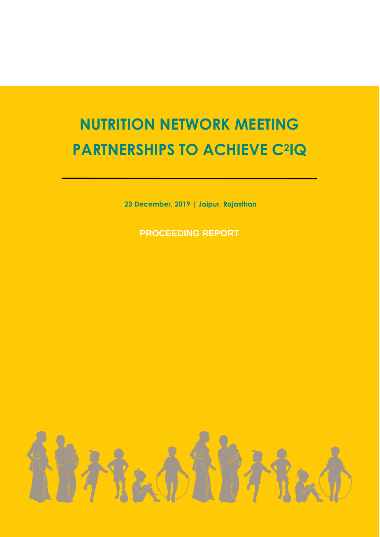# **NUTRITION NETWORK MEETING PARTNERSHIPS TO ACHIEVE C2IQ**

**23 December, 2019 | Jaipur, Rajasthan**

**PROCEEDING REPORT**

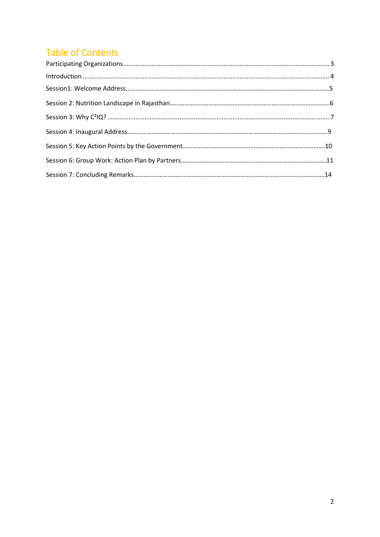# Table of Contents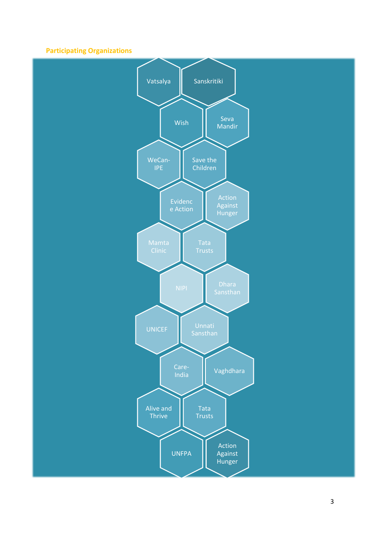# **Participating Organizations**

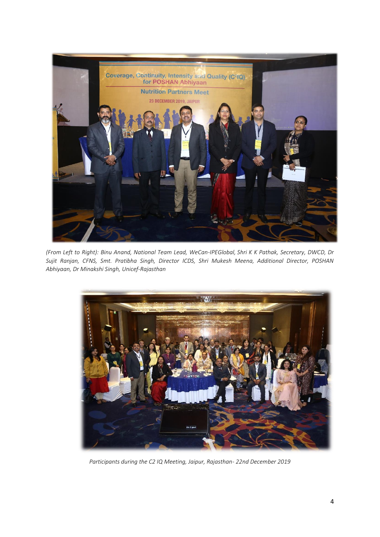

*(From Left to Right): Binu Anand, National Team Lead, WeCan-IPEGlobal, Shri K K Pathak, Secretary, DWCD, Dr Sujit Ranjan, CFNS, Smt. Pratibha Singh, Director ICDS, Shri Mukesh Meena, Additional Director, POSHAN Abhiyaan, Dr Minakshi Singh, Unicef-Rajasthan*



*Participants during the C2 IQ Meeting, Jaipur, Rajasthan- 22nd December 2019*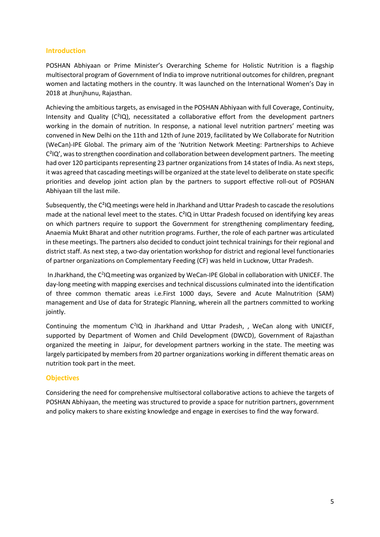# **Introduction**

POSHAN Abhiyaan or Prime Minister's Overarching Scheme for Holistic Nutrition is a flagship multisectoral program of Government of India to improve nutritional outcomes for children, pregnant women and lactating mothers in the country. It was launched on the International Women's Day in 2018 at Jhunjhunu, Rajasthan.

Achieving the ambitious targets, as envisaged in the POSHAN Abhiyaan with full Coverage, Continuity, Intensity and Quality  $(C<sup>2</sup>IQ)$ , necessitated a collaborative effort from the development partners working in the domain of nutrition. In response, a national level nutrition partners' meeting was convened in New Delhi on the 11th and 12th of June 2019, facilitated by We Collaborate for Nutrition (WeCan)-IPE Global. The primary aim of the 'Nutrition Network Meeting: Partnerships to Achieve  $C<sup>2</sup>IQ'$ , was to strengthen coordination and collaboration between development partners. The meeting had over 120 participants representing 23 partner organizations from 14 states of India. As next steps, it was agreed that cascading meetings will be organized at the state level to deliberate on state specific priorities and develop joint action plan by the partners to support effective roll-out of POSHAN Abhiyaan till the last mile.

Subsequently, the C²IQ meetings were held in Jharkhand and Uttar Pradesh to cascade the resolutions made at the national level meet to the states. C²IQ in Uttar Pradesh focused on identifying key areas on which partners require to support the Government for strengthening complimentary feeding, Anaemia Mukt Bharat and other nutrition programs. Further, the role of each partner was articulated in these meetings. The partners also decided to conduct joint technical trainings for their regional and district staff. As next step, a two-day orientation workshop for district and regional level functionaries of partner organizations on Complementary Feeding (CF) was held in Lucknow, Uttar Pradesh.

In Jharkhand, the C<sup>2</sup>IQ meeting was organized by WeCan-IPE Global in collaboration with UNICEF. The day-long meeting with mapping exercises and technical discussions culminated into the identification of three common thematic areas i.e.First 1000 days, Severe and Acute Malnutrition (SAM) management and Use of data for Strategic Planning, wherein all the partners committed to working jointly.

Continuing the momentum C<sup>2</sup>IQ in Jharkhand and Uttar Pradesh, , WeCan along with UNICEF, supported by Department of Women and Child Development (DWCD), Government of Rajasthan organized the meeting in Jaipur, for development partners working in the state. The meeting was largely participated by members from 20 partner organizations working in different thematic areas on nutrition took part in the meet.

#### **Objectives**

Considering the need for comprehensive multisectoral collaborative actions to achieve the targets of POSHAN Abhiyaan, the meeting was structured to provide a space for nutrition partners, government and policy makers to share existing knowledge and engage in exercises to find the way forward.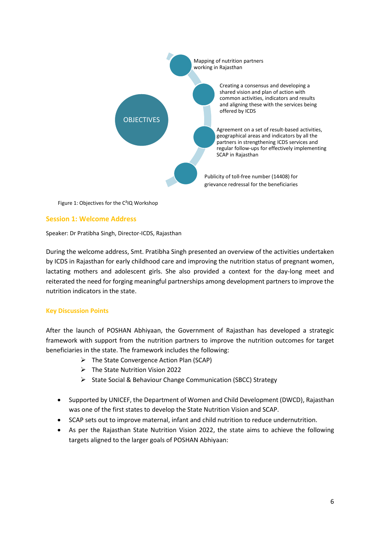

Figure 1: Objectives for the C²IQ Workshop

#### **Session 1: Welcome Address**

Speaker: Dr Pratibha Singh, Director-ICDS, Rajasthan

During the welcome address, Smt. Pratibha Singh presented an overview of the activities undertaken by ICDS in Rajasthan for early childhood care and improving the nutrition status of pregnant women, lactating mothers and adolescent girls. She also provided a context for the day-long meet and reiterated the need for forging meaningful partnerships among development partners to improve the nutrition indicators in the state.

#### **Key Discussion Points**

After the launch of POSHAN Abhiyaan, the Government of Rajasthan has developed a strategic framework with support from the nutrition partners to improve the nutrition outcomes for target beneficiaries in the state. The framework includes the following:

- ➢ The State Convergence Action Plan (SCAP)
- ➢ The State Nutrition Vision 2022
- ➢ State Social & Behaviour Change Communication (SBCC) Strategy
- Supported by UNICEF, the Department of Women and Child Development (DWCD), Rajasthan was one of the first states to develop the State Nutrition Vision and SCAP.
- SCAP sets out to improve maternal, infant and child nutrition to reduce undernutrition.
- As per the Rajasthan State Nutrition Vision 2022, the state aims to achieve the following targets aligned to the larger goals of POSHAN Abhiyaan: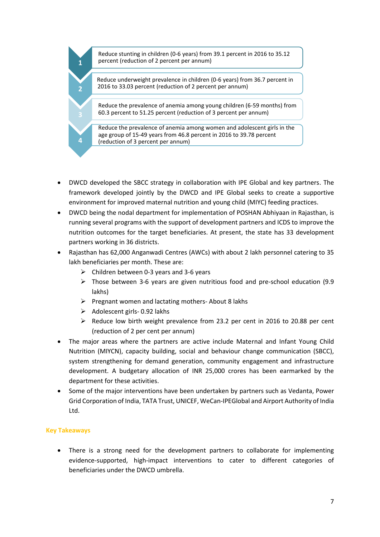

- DWCD developed the SBCC strategy in collaboration with IPE Global and key partners. The framework developed jointly by the DWCD and IPE Global seeks to create a supportive environment for improved maternal nutrition and young child (MIYC) feeding practices.
- DWCD being the nodal department for implementation of POSHAN Abhiyaan in Rajasthan, is running several programs with the support of development partners and ICDS to improve the nutrition outcomes for the target beneficiaries. At present, the state has 33 development partners working in 36 districts.
- Rajasthan has 62,000 Anganwadi Centres (AWCs) with about 2 lakh personnel catering to 35 lakh beneficiaries per month. These are:
	- $\triangleright$  Children between 0-3 years and 3-6 years
	- ➢ Those between 3-6 years are given nutritious food and pre-school education (9.9 lakhs)
	- ➢ Pregnant women and lactating mothers- About 8 lakhs
	- ➢ Adolescent girls- 0.92 lakhs
	- $\triangleright$  Reduce low birth weight prevalence from 23.2 per cent in 2016 to 20.88 per cent (reduction of 2 per cent per annum)
- The major areas where the partners are active include Maternal and Infant Young Child Nutrition (MIYCN), capacity building, social and behaviour change communication (SBCC), system strengthening for demand generation, community engagement and infrastructure development. A budgetary allocation of INR 25,000 crores has been earmarked by the department for these activities.
- Some of the major interventions have been undertaken by partners such as Vedanta, Power Grid Corporation of India, TATA Trust, UNICEF, WeCan-IPEGlobal and Airport Authority of India Ltd.

#### **Key Takeaways**

• There is a strong need for the development partners to collaborate for implementing evidence-supported, high-impact interventions to cater to different categories of beneficiaries under the DWCD umbrella.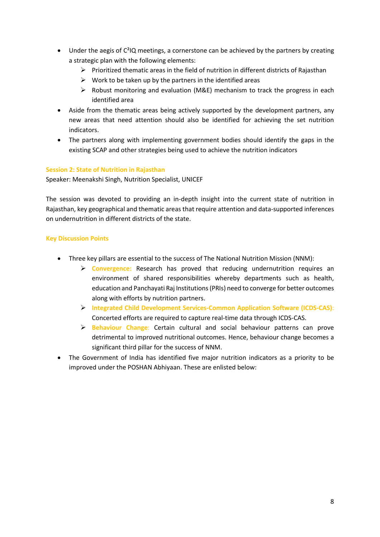- Under the aegis of  $C^2$ IQ meetings, a cornerstone can be achieved by the partners by creating a strategic plan with the following elements:
	- $\triangleright$  Prioritized thematic areas in the field of nutrition in different districts of Rajasthan
	- $\triangleright$  Work to be taken up by the partners in the identified areas
	- ➢ Robust monitoring and evaluation (M&E) mechanism to track the progress in each identified area
- Aside from the thematic areas being actively supported by the development partners, any new areas that need attention should also be identified for achieving the set nutrition indicators.
- The partners along with implementing government bodies should identify the gaps in the existing SCAP and other strategies being used to achieve the nutrition indicators

# **Session 2: State of Nutrition in Rajasthan**

Speaker: Meenakshi Singh, Nutrition Specialist, UNICEF

The session was devoted to providing an in-depth insight into the current state of nutrition in Rajasthan, key geographical and thematic areas that require attention and data-supported inferences on undernutrition in different districts of the state.

# **Key Discussion Points**

- Three key pillars are essential to the success of The National Nutrition Mission (NNM):
	- ➢ **Convergence:** Research has proved that reducing undernutrition requires an environment of shared responsibilities whereby departments such as health, education and Panchayati Raj Institutions (PRIs) need to converge for better outcomes along with efforts by nutrition partners.
	- ➢ **Integrated Child Development Services-Common Application Software (ICDS-CAS)**: Concerted efforts are required to capture real-time data through ICDS-CAS.
	- ➢ **Behaviour Change**: Certain cultural and social behaviour patterns can prove detrimental to improved nutritional outcomes. Hence, behaviour change becomes a significant third pillar for the success of NNM.
- The Government of India has identified five major nutrition indicators as a priority to be improved under the POSHAN Abhiyaan. These are enlisted below: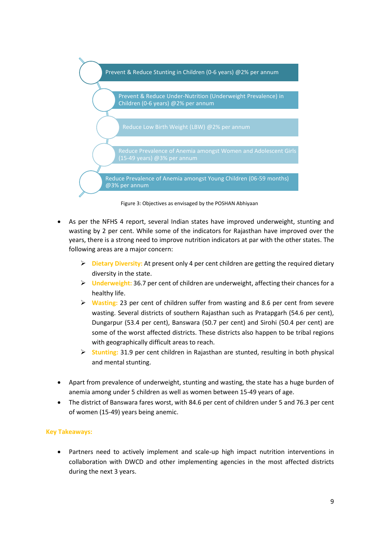

Figure 3: Objectives as envisaged by the POSHAN Abhiyaan

- As per the NFHS 4 report, several Indian states have improved underweight, stunting and wasting by 2 per cent. While some of the indicators for Rajasthan have improved over the years, there is a strong need to improve nutrition indicators at par with the other states. The following areas are a major concern:
	- ➢ **Dietary Diversity:** At present only 4 per cent children are getting the required dietary diversity in the state.
	- ➢ **Underweight:** 36.7 per cent of children are underweight, affecting their chances for a healthy life.
	- ➢ **Wasting:** 23 per cent of children suffer from wasting and 8.6 per cent from severe wasting. Several districts of southern Rajasthan such as Pratapgarh (54.6 per cent), Dungarpur (53.4 per cent), Banswara (50.7 per cent) and Sirohi (50.4 per cent) are some of the worst affected districts. These districts also happen to be tribal regions with geographically difficult areas to reach.
	- ➢ **Stunting:** 31.9 per cent children in Rajasthan are stunted, resulting in both physical and mental stunting.
- Apart from prevalence of underweight, stunting and wasting, the state has a huge burden of anemia among under 5 children as well as women between 15-49 years of age.
- The district of Banswara fares worst, with 84.6 per cent of children under 5 and 76.3 per cent of women (15-49) years being anemic.

# **Key Takeaways:**

Partners need to actively implement and scale-up high impact nutrition interventions in collaboration with DWCD and other implementing agencies in the most affected districts during the next 3 years.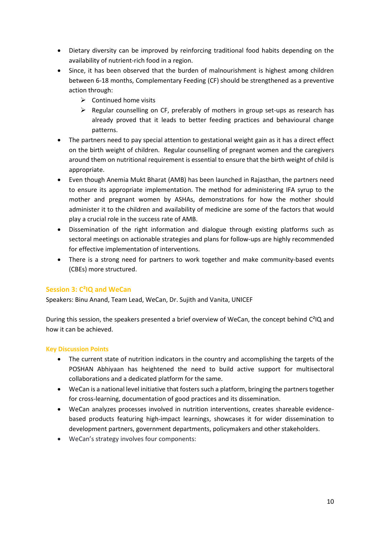- Dietary diversity can be improved by reinforcing traditional food habits depending on the availability of nutrient-rich food in a region.
- Since, it has been observed that the burden of malnourishment is highest among children between 6-18 months, Complementary Feeding (CF) should be strengthened as a preventive action through:
	- $\triangleright$  Continued home visits
	- $\triangleright$  Regular counselling on CF, preferably of mothers in group set-ups as research has already proved that it leads to better feeding practices and behavioural change patterns.
- The partners need to pay special attention to gestational weight gain as it has a direct effect on the birth weight of children. Regular counselling of pregnant women and the caregivers around them on nutritional requirement is essential to ensure that the birth weight of child is appropriate.
- Even though Anemia Mukt Bharat (AMB) has been launched in Rajasthan, the partners need to ensure its appropriate implementation. The method for administering IFA syrup to the mother and pregnant women by ASHAs, demonstrations for how the mother should administer it to the children and availability of medicine are some of the factors that would play a crucial role in the success rate of AMB.
- Dissemination of the right information and dialogue through existing platforms such as sectoral meetings on actionable strategies and plans for follow-ups are highly recommended for effective implementation of interventions.
- There is a strong need for partners to work together and make community-based events (CBEs) more structured.

# **Session 3: C²IQ and WeCan**

Speakers: Binu Anand, Team Lead, WeCan, Dr. Sujith and Vanita, UNICEF

During this session, the speakers presented a brief overview of WeCan, the concept behind C²IQ and how it can be achieved.

# **Key Discussion Points**

- The current state of nutrition indicators in the country and accomplishing the targets of the POSHAN Abhiyaan has heightened the need to build active support for multisectoral collaborations and a dedicated platform for the same.
- WeCan is a national level initiative that fosters such a platform, bringing the partners together for cross-learning, documentation of good practices and its dissemination.
- WeCan analyzes processes involved in nutrition interventions, creates shareable evidencebased products featuring high-impact learnings, showcases it for wider dissemination to development partners, government departments, policymakers and other stakeholders.
- WeCan's strategy involves four components: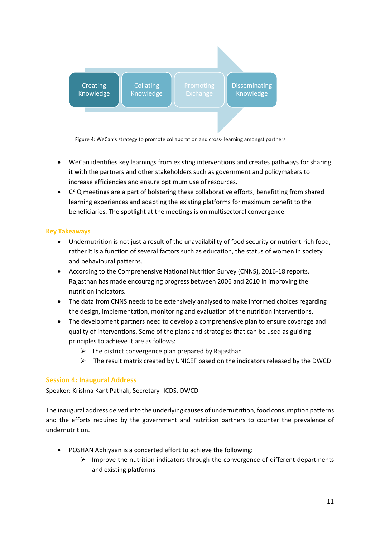

Figure 4: WeCan's strategy to promote collaboration and cross- learning amongst partners

- WeCan identifies key learnings from existing interventions and creates pathways for sharing it with the partners and other stakeholders such as government and policymakers to increase efficiencies and ensure optimum use of resources.
- C²IQ meetings are a part of bolstering these collaborative efforts, benefitting from shared learning experiences and adapting the existing platforms for maximum benefit to the beneficiaries. The spotlight at the meetings is on multisectoral convergence.

# **Key Takeaways**

- Undernutrition is not just a result of the unavailability of food security or nutrient-rich food, rather it is a function of several factors such as education, the status of women in society and behavioural patterns.
- According to the Comprehensive National Nutrition Survey (CNNS), 2016-18 reports, Rajasthan has made encouraging progress between 2006 and 2010 in improving the nutrition indicators.
- The data from CNNS needs to be extensively analysed to make informed choices regarding the design, implementation, monitoring and evaluation of the nutrition interventions.
- The development partners need to develop a comprehensive plan to ensure coverage and quality of interventions. Some of the plans and strategies that can be used as guiding principles to achieve it are as follows:
	- $\triangleright$  The district convergence plan prepared by Rajasthan
	- $\triangleright$  The result matrix created by UNICEF based on the indicators released by the DWCD

#### **Session 4: Inaugural Address**

Speaker: Krishna Kant Pathak, Secretary- ICDS, DWCD

The inaugural address delved into the underlying causes of undernutrition, food consumption patterns and the efforts required by the government and nutrition partners to counter the prevalence of undernutrition.

- POSHAN Abhiyaan is a concerted effort to achieve the following:
	- $\triangleright$  Improve the nutrition indicators through the convergence of different departments and existing platforms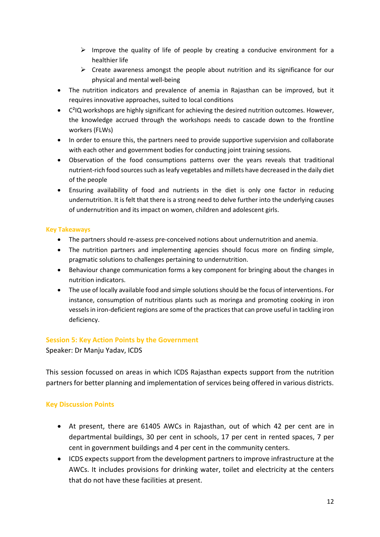- $\triangleright$  Improve the quality of life of people by creating a conducive environment for a healthier life
- $\triangleright$  Create awareness amongst the people about nutrition and its significance for our physical and mental well-being
- The nutrition indicators and prevalence of anemia in Rajasthan can be improved, but it requires innovative approaches, suited to local conditions
- C<sup>2</sup>IQ workshops are highly significant for achieving the desired nutrition outcomes. However, the knowledge accrued through the workshops needs to cascade down to the frontline workers (FLWs)
- In order to ensure this, the partners need to provide supportive supervision and collaborate with each other and government bodies for conducting joint training sessions.
- Observation of the food consumptions patterns over the years reveals that traditional nutrient-rich food sources such as leafy vegetables and millets have decreased in the daily diet of the people
- Ensuring availability of food and nutrients in the diet is only one factor in reducing undernutrition. It is felt that there is a strong need to delve further into the underlying causes of undernutrition and its impact on women, children and adolescent girls.

# **Key Takeaways**

- The partners should re-assess pre-conceived notions about undernutrition and anemia.
- The nutrition partners and implementing agencies should focus more on finding simple, pragmatic solutions to challenges pertaining to undernutrition.
- Behaviour change communication forms a key component for bringing about the changes in nutrition indicators.
- The use of locally available food and simple solutions should be the focus of interventions. For instance, consumption of nutritious plants such as moringa and promoting cooking in iron vessels in iron-deficient regions are some of the practices that can prove useful in tackling iron deficiency.

# **Session 5: Key Action Points by the Government**

Speaker: Dr Manju Yadav, ICDS

This session focussed on areas in which ICDS Rajasthan expects support from the nutrition partners for better planning and implementation of services being offered in various districts.

# **Key Discussion Points**

- At present, there are 61405 AWCs in Rajasthan, out of which 42 per cent are in departmental buildings, 30 per cent in schools, 17 per cent in rented spaces, 7 per cent in government buildings and 4 per cent in the community centers.
- ICDS expects support from the development partners to improve infrastructure at the AWCs. It includes provisions for drinking water, toilet and electricity at the centers that do not have these facilities at present.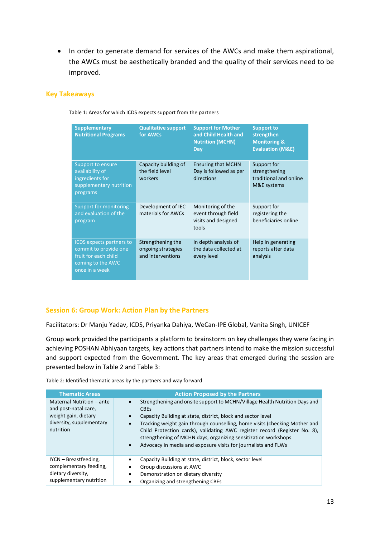• In order to generate demand for services of the AWCs and make them aspirational, the AWCs must be aesthetically branded and the quality of their services need to be improved.

# **Key Takeaways**

Table 1: Areas for which ICDS expects support from the partners

| <b>Supplementary</b><br><b>Nutritional Programs</b>                                                                     | <b>Qualitative support</b><br>for AWCs                       | <b>Support for Mother</b><br>and Child Health and<br><b>Nutrition (MCHN)</b><br>Day | <b>Support to</b><br>strengthen<br><b>Monitoring &amp;</b><br><b>Evaluation (M&amp;E)</b> |
|-------------------------------------------------------------------------------------------------------------------------|--------------------------------------------------------------|-------------------------------------------------------------------------------------|-------------------------------------------------------------------------------------------|
| Support to ensure<br>availability of<br>ingredients for<br>supplementary nutrition<br>programs                          | Capacity building of<br>the field level<br>workers           | <b>Ensuring that MCHN</b><br>Day is followed as per<br>directions                   | Support for<br>strengthening<br>traditional and online<br>M&E systems                     |
| Support for monitoring<br>and evaluation of the<br>program                                                              | Development of IEC<br>materials for AWCs                     | Monitoring of the<br>event through field<br>visits and designed<br>tools            | Support for<br>registering the<br>beneficiaries online                                    |
| <b>ICDS</b> expects partners to<br>commit to provide one<br>fruit for each child<br>coming to the AWC<br>once in a week | Strengthening the<br>ongoing strategies<br>and interventions | In depth analysis of<br>the data collected at<br>every level                        | Help in generating<br>reports after data<br>analysis                                      |

# **Session 6: Group Work: Action Plan by the Partners**

Facilitators: Dr Manju Yadav, ICDS, Priyanka Dahiya, WeCan-IPE Global, Vanita Singh, UNICEF

Group work provided the participants a platform to brainstorm on key challenges they were facing in achieving POSHAN Abhiyaan targets, key actions that partners intend to make the mission successful and support expected from the Government. The key areas that emerged during the session are presented below in Table 2 and Table 3:

Table 2: Identified thematic areas by the partners and way forward

| <b>Thematic Areas</b>                                                                                              | <b>Action Proposed by the Partners</b>                                                                                                                                                                                                                                                                                                                                                                                                                                                                       |
|--------------------------------------------------------------------------------------------------------------------|--------------------------------------------------------------------------------------------------------------------------------------------------------------------------------------------------------------------------------------------------------------------------------------------------------------------------------------------------------------------------------------------------------------------------------------------------------------------------------------------------------------|
| Maternal Nutrition - ante<br>and post-natal care,<br>weight gain, dietary<br>diversity, supplementary<br>nutrition | Strengthening and onsite support to MCHN/Village Health Nutrition Days and<br>$\bullet$<br><b>CBEs</b><br>Capacity Building at state, district, block and sector level<br>$\bullet$<br>Tracking weight gain through counselling, home visits (checking Mother and<br>$\bullet$<br>Child Protection cards), validating AWC register record (Register No. 8),<br>strengthening of MCHN days, organizing sensitization workshops<br>Advocacy in media and exposure visits for journalists and FLWs<br>$\bullet$ |
| $IVCN - Breastfeeding,$<br>complementary feeding,<br>dietary diversity,<br>supplementary nutrition                 | Capacity Building at state, district, block, sector level<br>$\bullet$<br>Group discussions at AWC<br>٠<br>Demonstration on dietary diversity<br>٠<br>Organizing and strengthening CBEs<br>٠                                                                                                                                                                                                                                                                                                                 |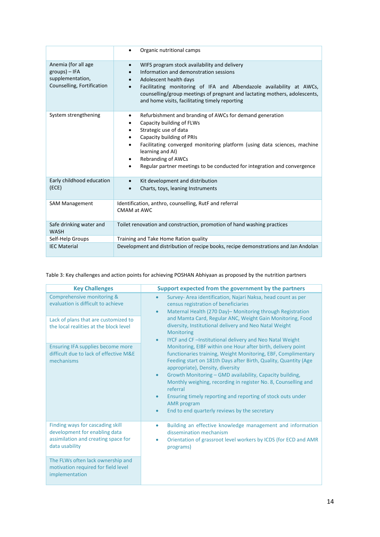|                                                                                        | Organic nutritional camps                                                                                                                                                                                                                                                                                                                                         |  |
|----------------------------------------------------------------------------------------|-------------------------------------------------------------------------------------------------------------------------------------------------------------------------------------------------------------------------------------------------------------------------------------------------------------------------------------------------------------------|--|
| Anemia (for all age<br>groups) - IFA<br>supplementation,<br>Counselling, Fortification | WIFS program stock availability and delivery<br>Information and demonstration sessions<br>Adolescent health days<br>Facilitating monitoring of IFA and Albendazole availability at AWCs,<br>$\bullet$<br>counselling/group meetings of pregnant and lactating mothers, adolescents,<br>and home visits, facilitating timely reporting                             |  |
| System strengthening                                                                   | Refurbishment and branding of AWCs for demand generation<br>٠<br>Capacity building of FLWs<br>Strategic use of data<br>٠<br>Capacity building of PRIs<br>Facilitating converged monitoring platform (using data sciences, machine<br>٠<br>learning and AI)<br>Rebranding of AWCs<br>Regular partner meetings to be conducted for integration and convergence<br>٠ |  |
| Early childhood education<br>(ECE)                                                     | Kit development and distribution<br>$\bullet$<br>Charts, toys, leaning Instruments<br>$\bullet$                                                                                                                                                                                                                                                                   |  |
| <b>SAM Management</b>                                                                  | Identification, anthro, counselling, RutF and referral<br>CMAM at AWC                                                                                                                                                                                                                                                                                             |  |
| Safe drinking water and<br><b>WASH</b>                                                 | Toilet renovation and construction, promotion of hand washing practices                                                                                                                                                                                                                                                                                           |  |
| Self-Help Groups                                                                       | Training and Take Home Ration quality                                                                                                                                                                                                                                                                                                                             |  |
| <b>IEC Material</b>                                                                    | Development and distribution of recipe books, recipe demonstrations and Jan Andolan                                                                                                                                                                                                                                                                               |  |

#### Table 3: Key challenges and action points for achieving POSHAN Abhiyaan as proposed by the nutrition partners

| <b>Key Challenges</b>                                                                                                                                                                                                    | Support expected from the government by the partners                                                                                                                                                                                                                                                                                                                                                                                                                                                                                           |
|--------------------------------------------------------------------------------------------------------------------------------------------------------------------------------------------------------------------------|------------------------------------------------------------------------------------------------------------------------------------------------------------------------------------------------------------------------------------------------------------------------------------------------------------------------------------------------------------------------------------------------------------------------------------------------------------------------------------------------------------------------------------------------|
| Comprehensive monitoring &<br>evaluation is difficult to achieve                                                                                                                                                         | Survey- Area identification, Najari Naksa, head count as per<br>census registration of beneficiaries<br>Maternal Health (270 Day)- Monitoring through Registration<br>$\bullet$                                                                                                                                                                                                                                                                                                                                                                |
| Lack of plans that are customized to<br>the local realities at the block level                                                                                                                                           | and Mamta Card, Regular ANC, Weight Gain Monitoring, Food<br>diversity, Institutional delivery and Neo Natal Weight<br>Monitoring<br>IYCF and CF-Institutional delivery and Neo Natal Weight<br>$\bullet$                                                                                                                                                                                                                                                                                                                                      |
| <b>Ensuring IFA supplies become more</b><br>difficult due to lack of effective M&E<br>mechanisms                                                                                                                         | Monitoring, EIBF within one Hour after birth, delivery point<br>functionaries training, Weight Monitoring, EBF, Complimentary<br>Feeding start on 181th Days after Birth, Quality, Quantity (Age<br>appropriate), Density, diversity<br>Growth Monitoring - GMD availability, Capacity building,<br>$\bullet$<br>Monthly weighing, recording in register No. 8, Counselling and<br>referral<br>Ensuring timely reporting and reporting of stock outs under<br><b>AMR</b> program<br>End to end quarterly reviews by the secretary<br>$\bullet$ |
| Finding ways for cascading skill<br>development for enabling data<br>assimilation and creating space for<br>data usability<br>The FLWs often lack ownership and<br>motivation required for field level<br>implementation | Building an effective knowledge management and information<br>۰<br>dissemination mechanism<br>Orientation of grassroot level workers by ICDS (for ECD and AMR<br>programs)                                                                                                                                                                                                                                                                                                                                                                     |